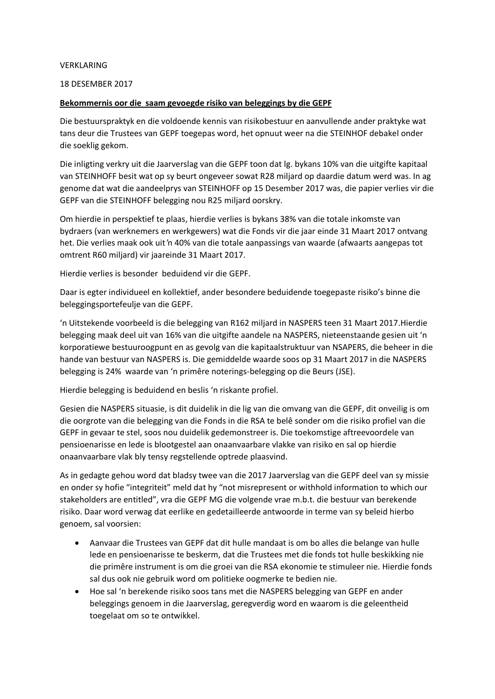#### VERKLARING

### 18 DESEMBER 2017

### **Bekommernis oor die saam gevoegde risiko van beleggings by die GEPF**

Die bestuurspraktyk en die voldoende kennis van risikobestuur en aanvullende ander praktyke wat tans deur die Trustees van GEPF toegepas word, het opnuut weer na die STEINHOF debakel onder die soeklig gekom.

Die inligting verkry uit die Jaarverslag van die GEPF toon dat lg. bykans 10% van die uitgifte kapitaal van STEINHOFF besit wat op sy beurt ongeveer sowat R28 miljard op daardie datum werd was. In ag genome dat wat die aandeelprys van STEINHOFF op 15 Desember 2017 was, die papier verlies vir die GEPF van die STEINHOFF belegging nou R25 miljard oorskry.

Om hierdie in perspektief te plaas, hierdie verlies is bykans 38% van die totale inkomste van bydraers (van werknemers en werkgewers) wat die Fonds vir die jaar einde 31 Maart 2017 ontvang het. Die verlies maak ook uit 'n 40% van die totale aanpassings van waarde (afwaarts aangepas tot omtrent R60 miljard) vir jaareinde 31 Maart 2017.

Hierdie verlies is besonder beduidend vir die GEPF.

Daar is egter individueel en kollektief, ander besondere beduidende toegepaste risiko's binne die beleggingsportefeulje van die GEPF.

'n Uitstekende voorbeeld is die belegging van R162 miljard in NASPERS teen 31 Maart 2017.Hierdie belegging maak deel uit van 16% van die uitgifte aandele na NASPERS, nieteenstaande gesien uit 'n korporatiewe bestuuroogpunt en as gevolg van die kapitaalstruktuur van NSAPERS, die beheer in die hande van bestuur van NASPERS is. Die gemiddelde waarde soos op 31 Maart 2017 in die NASPERS belegging is 24% waarde van 'n primêre noterings-belegging op die Beurs (JSE).

Hierdie belegging is beduidend en beslis 'n riskante profiel.

Gesien die NASPERS situasie, is dit duidelik in die lig van die omvang van die GEPF, dit onveilig is om die oorgrote van die belegging van die Fonds in die RSA te belê sonder om die risiko profiel van die GEPF in gevaar te stel, soos nou duidelik gedemonstreer is. Die toekomstige aftreevoordele van pensioenarisse en lede is blootgestel aan onaanvaarbare vlakke van risiko en sal op hierdie onaanvaarbare vlak bly tensy regstellende optrede plaasvind.

As in gedagte gehou word dat bladsy twee van die 2017 Jaarverslag van die GEPF deel van sy missie en onder sy hofie "integriteit" meld dat hy "not misrepresent or withhold information to which our stakeholders are entitled", vra die GEPF MG die volgende vrae m.b.t. die bestuur van berekende risiko. Daar word verwag dat eerlike en gedetailleerde antwoorde in terme van sy beleid hierbo genoem, sal voorsien:

- Aanvaar die Trustees van GEPF dat dit hulle mandaat is om bo alles die belange van hulle lede en pensioenarisse te beskerm, dat die Trustees met die fonds tot hulle beskikking nie die primêre instrument is om die groei van die RSA ekonomie te stimuleer nie. Hierdie fonds sal dus ook nie gebruik word om politieke oogmerke te bedien nie.
- Hoe sal 'n berekende risiko soos tans met die NASPERS belegging van GEPF en ander beleggings genoem in die Jaarverslag, geregverdig word en waarom is die geleentheid toegelaat om so te ontwikkel.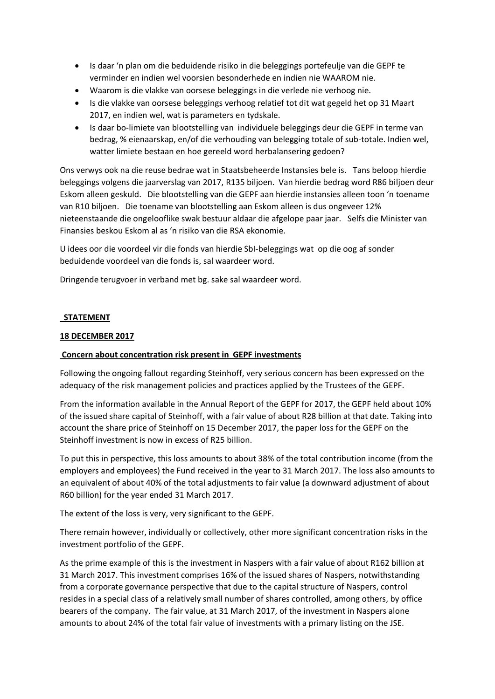- Is daar 'n plan om die beduidende risiko in die beleggings portefeulje van die GEPF te verminder en indien wel voorsien besonderhede en indien nie WAAROM nie.
- Waarom is die vlakke van oorsese beleggings in die verlede nie verhoog nie.
- Is die vlakke van oorsese beleggings verhoog relatief tot dit wat gegeld het op 31 Maart 2017, en indien wel, wat is parameters en tydskale.
- Is daar bo-limiete van blootstelling van individuele beleggings deur die GEPF in terme van bedrag, % eienaarskap, en/of die verhouding van belegging totale of sub-totale. Indien wel, watter limiete bestaan en hoe gereeld word herbalansering gedoen?

Ons verwys ook na die reuse bedrae wat in Staatsbeheerde Instansies bele is. Tans beloop hierdie beleggings volgens die jaarverslag van 2017, R135 biljoen. Van hierdie bedrag word R86 biljoen deur Eskom alleen geskuld. Die blootstelling van die GEPF aan hierdie instansies alleen toon 'n toename van R10 biljoen. Die toename van blootstelling aan Eskom alleen is dus ongeveer 12% nieteenstaande die ongelooflike swak bestuur aldaar die afgelope paar jaar. Selfs die Minister van Finansies beskou Eskom al as 'n risiko van die RSA ekonomie.

U idees oor die voordeel vir die fonds van hierdie SbI-beleggings wat op die oog af sonder beduidende voordeel van die fonds is, sal waardeer word.

Dringende terugvoer in verband met bg. sake sal waardeer word.

# **STATEMENT**

# **18 DECEMBER 2017**

### **Concern about concentration risk present in GEPF investments**

Following the ongoing fallout regarding Steinhoff, very serious concern has been expressed on the adequacy of the risk management policies and practices applied by the Trustees of the GEPF.

From the information available in the Annual Report of the GEPF for 2017, the GEPF held about 10% of the issued share capital of Steinhoff, with a fair value of about R28 billion at that date. Taking into account the share price of Steinhoff on 15 December 2017, the paper loss for the GEPF on the Steinhoff investment is now in excess of R25 billion.

To put this in perspective, this loss amounts to about 38% of the total contribution income (from the employers and employees) the Fund received in the year to 31 March 2017. The loss also amounts to an equivalent of about 40% of the total adjustments to fair value (a downward adjustment of about R60 billion) for the year ended 31 March 2017.

The extent of the loss is very, very significant to the GEPF.

There remain however, individually or collectively, other more significant concentration risks in the investment portfolio of the GEPF.

As the prime example of this is the investment in Naspers with a fair value of about R162 billion at 31 March 2017. This investment comprises 16% of the issued shares of Naspers, notwithstanding from a corporate governance perspective that due to the capital structure of Naspers, control resides in a special class of a relatively small number of shares controlled, among others, by office bearers of the company. The fair value, at 31 March 2017, of the investment in Naspers alone amounts to about 24% of the total fair value of investments with a primary listing on the JSE.